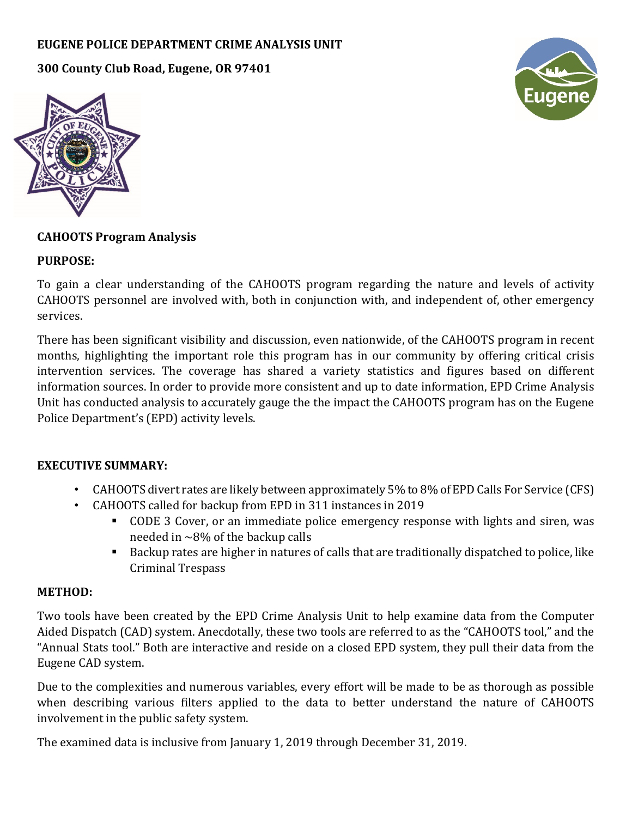## **EUGENE POLICE DEPARTMENT CRIME ANALYSIS UNIT**

**300 County Club Road, Eugene, OR 97401**





### **CAHOOTS Program Analysis**

#### **PURPOSE:**

To gain a clear understanding of the CAHOOTS program regarding the nature and levels of activity CAHOOTS personnel are involved with, both in conjunction with, and independent of, other emergency services.

There has been significant visibility and discussion, even nationwide, of the CAHOOTS program in recent months, highlighting the important role this program has in our community by offering critical crisis intervention services. The coverage has shared a variety statistics and figures based on different information sources. In order to provide more consistent and up to date information, EPD Crime Analysis Unit has conducted analysis to accurately gauge the the impact the CAHOOTS program has on the Eugene Police Department's (EPD) activity levels.

#### **EXECUTIVE SUMMARY:**

- CAHOOTS divert rates are likely between approximately 5% to 8% of EPD Calls For Service (CFS)
	- CAHOOTS called for backup from EPD in 311 instances in 2019
		- CODE 3 Cover, or an immediate police emergency response with lights and siren, was needed in  $\sim$ 8% of the backup calls
		- Backup rates are higher in natures of calls that are traditionally dispatched to police, like Criminal Trespass

#### **METHOD:**

Two tools have been created by the EPD Crime Analysis Unit to help examine data from the Computer Aided Dispatch (CAD) system. Anecdotally, these two tools are referred to as the "CAHOOTS tool," and the "Annual Stats tool." Both are interactive and reside on a closed EPD system, they pull their data from the Eugene CAD system.

Due to the complexities and numerous variables, every effort will be made to be as thorough as possible when describing various filters applied to the data to better understand the nature of CAHOOTS involvement in the public safety system.

The examined data is inclusive from January 1, 2019 through December 31, 2019.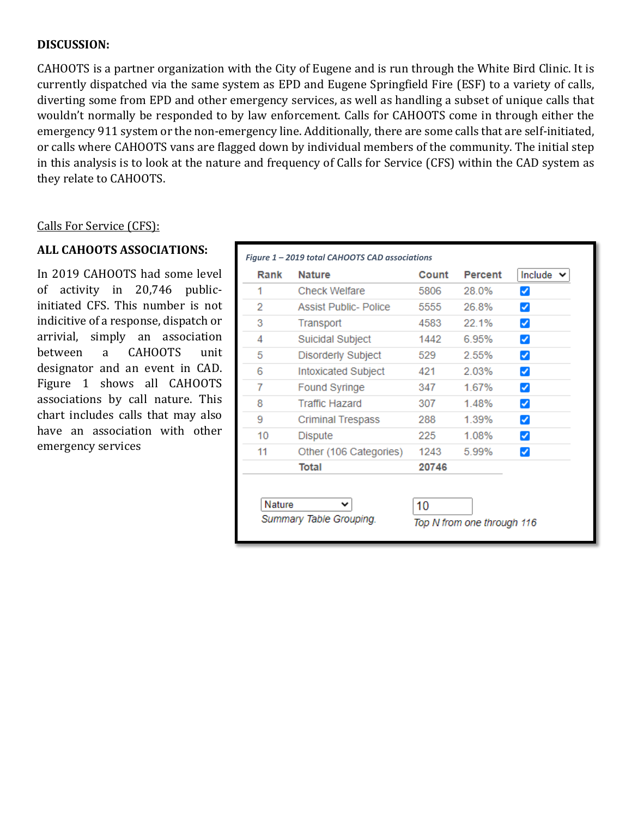#### **DISCUSSION:**

CAHOOTS is a partner organization with the City of Eugene and is run through the White Bird Clinic. It is currently dispatched via the same system as EPD and Eugene Springfield Fire (ESF) to a variety of calls, diverting some from EPD and other emergency services, as well as handling a subset of unique calls that wouldn't normally be responded to by law enforcement. Calls for CAHOOTS come in through either the emergency 911 system or the non-emergency line. Additionally, there are some calls that are self-initiated, or calls where CAHOOTS vans are flagged down by individual members of the community. The initial step in this analysis is to look at the nature and frequency of Calls for Service (CFS) within the CAD system as they relate to CAHOOTS.

#### Calls For Service (CFS):

### **ALL CAHOOTS ASSOCIATIONS:**

In 2019 CAHOOTS had some level of activity in 20,746 publicinitiated CFS. This number is not indicitive of a response, dispatch or arrivial, simply an association CAHOOTS unit designator and an event in CAD. Figure 1 shows all CAHOOTS associations by call nature. This chart includes calls that may also have an association with other emergency services

| 1<br><b>Check Welfare</b><br>5806<br>28.0%<br>2<br><b>Assist Public- Police</b><br>5555<br>26.8%<br>✓<br>4583<br>22.1%<br>Transport<br>✓<br><b>Suicidal Subject</b><br>1442<br>6.95%<br>✓<br>Disorderly Subject<br>2.55%<br>529<br>✓ |  |
|--------------------------------------------------------------------------------------------------------------------------------------------------------------------------------------------------------------------------------------|--|
|                                                                                                                                                                                                                                      |  |
| 3                                                                                                                                                                                                                                    |  |
| 4<br>5                                                                                                                                                                                                                               |  |
|                                                                                                                                                                                                                                      |  |
|                                                                                                                                                                                                                                      |  |
| 2.03%<br>6<br>Intoxicated Subject<br>421<br>✓                                                                                                                                                                                        |  |
| 1.67%<br>7<br>Found Syringe<br>347<br>✓                                                                                                                                                                                              |  |
| 8<br><b>Traffic Hazard</b><br>307<br>1.48%<br>✓                                                                                                                                                                                      |  |
| 9<br>1.39%<br><b>Criminal Trespass</b><br>288<br>✓                                                                                                                                                                                   |  |
| 10<br>1.08%<br>Dispute<br>225<br>✓                                                                                                                                                                                                   |  |
| 11<br>Other (106 Categories)<br>1243<br>5.99%<br>✓                                                                                                                                                                                   |  |
| <b>Total</b><br>20746                                                                                                                                                                                                                |  |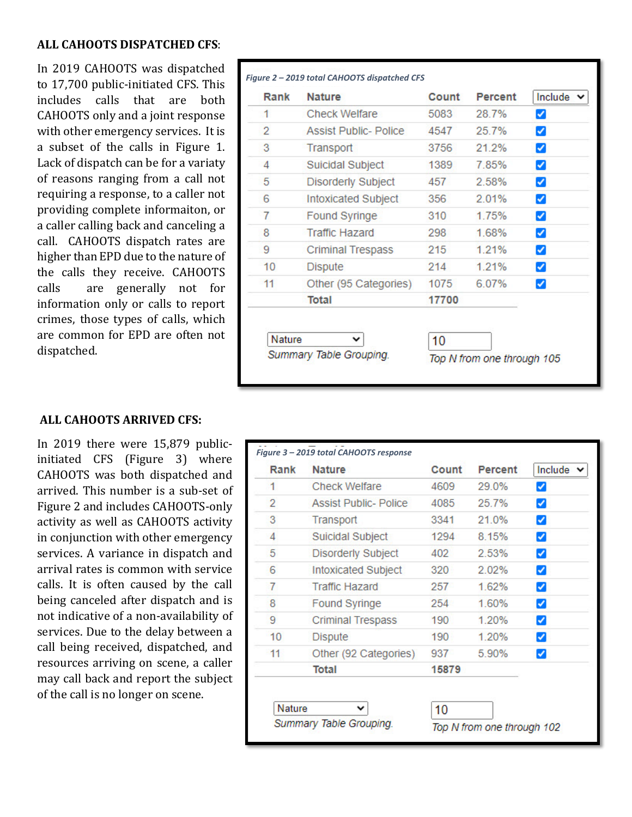### **ALL CAHOOTS DISPATCHED CFS**:

In 2019 CAHOOTS was dispatched to 17,700 public-initiated CFS. This includes calls that are both CAHOOTS only and a joint response with other emergency services. It is a subset of the calls in Figure 1. Lack of dispatch can be for a variaty of reasons ranging from a call not requiring a response, to a caller not providing complete informaiton, or a caller calling back and canceling a call. CAHOOTS dispatch rates are higher than EPD due to the nature of the calls they receive. CAHOOTS calls are generally not for information only or calls to report crimes, those types of calls, which are common for EPD are often not dispatched.

| Rank   | <b>Nature</b>                | Count | <b>Percent</b> | Include $\vee$       |
|--------|------------------------------|-------|----------------|----------------------|
| 1      | Check Welfare                | 5083  | 28.7%          | ✓                    |
| 2      | <b>Assist Public- Police</b> | 4547  | 25.7%          | ✓                    |
| 3      | Transport                    | 3756  | 21.2%          | ✓                    |
| 4      | Suicidal Subject             | 1389  | 7.85%          | ✔                    |
| 5      | Disorderly Subject           | 457   | 2.58%          | ✓                    |
| 6      | <b>Intoxicated Subject</b>   | 356   | 2.01%          | $\blacktriangledown$ |
| 7      | <b>Found Syringe</b>         | 310   | 1 75%          | $\blacktriangledown$ |
| 8      | <b>Traffic Hazard</b>        | 298   | 168%           | ✓                    |
| 9      | Criminal Trespass            | 215.  | 1 2 1 %        | $\blacktriangledown$ |
| 10     | Dispute                      | 214   | 1 2 1 %        | ✔                    |
| 11     | Other (95 Categories)        | 1075  | 6.07%          | ✓                    |
|        | Total                        | 17700 |                |                      |
| Nature | v                            | 10    |                |                      |

#### **ALL CAHOOTS ARRIVED CFS:**

In 2019 there were 15,879 publicinitiated CFS (Figure 3) where CAHOOTS was both dispatched and arrived. This number is a sub-set of Figure 2 and includes CAHOOTS-only activity as well as CAHOOTS activity in conjunction with other emergency services. A variance in dispatch and arrival rates is common with service calls. It is often caused by the call being canceled after dispatch and is not indicative of a non-availability of services. Due to the delay between a call being received, dispatched, and resources arriving on scene, a caller may call back and report the subject of the call is no longer on scene.

| Rank | <b>Nature</b>                | Count | <b>Percent</b> | Include $\vee$       |
|------|------------------------------|-------|----------------|----------------------|
| 1    | <b>Check Welfare</b>         | 4609  | 29.0%          | ✓                    |
| 2    | <b>Assist Public- Police</b> | 4085  | 25.7%          | ✓                    |
| 3    | Transport                    | 3341  | 21.0%          | ✔                    |
| 4    | Suicidal Subject             | 1294  | 8.15%          | ✔                    |
| 5    | <b>Disorderly Subject</b>    | 402   | 2.53%          | ✓                    |
| 6    | Intoxicated Subject          | 320   | 2.02%          | ✔                    |
| 7    | <b>Traffic Hazard</b>        | 257   | 1.62%          | $\blacktriangledown$ |
| 8    | Found Syringe                | 254   | 1.60%          | ✓                    |
| 9    | <b>Criminal Trespass</b>     | 190   | 1.20%          | ✔                    |
| 10   | <b>Dispute</b>               | 190   | 1.20%          | ✔                    |
| 11   | Other (92 Categories)        | 937   | 5.90%          | ✓                    |
|      | <b>Total</b>                 | 15879 |                |                      |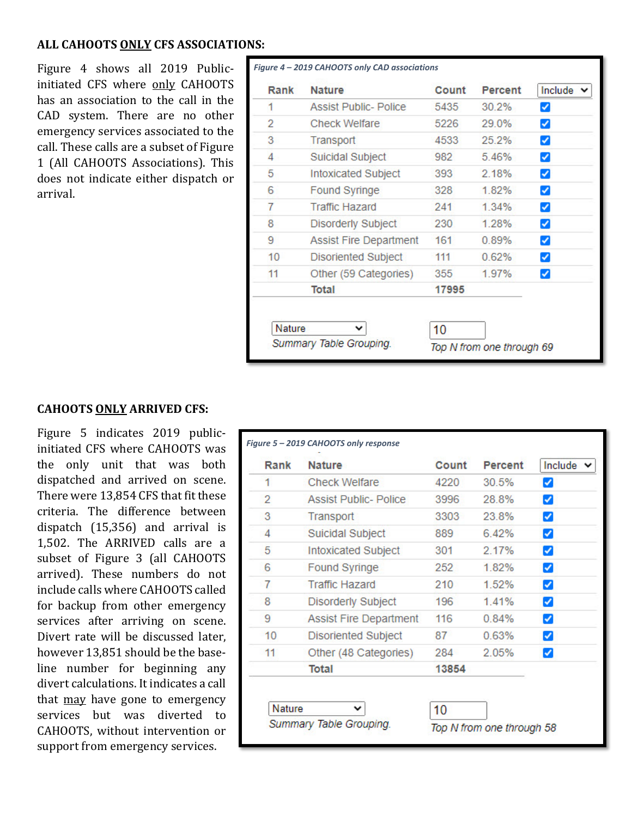### **ALL CAHOOTS ONLY CFS ASSOCIATIONS:**

Figure 4 shows all 2019 Publicinitiated CFS where only CAHOOTS has an association to the call in the CAD system. There are no other emergency services associated to the call. These calls are a subset of Figure 1 (All CAHOOTS Associations). This does not indicate either dispatch or arrival.

| Rank | <b>Nature</b>                 | Count | Percent | Include              |
|------|-------------------------------|-------|---------|----------------------|
| 1    | <b>Assist Public- Police</b>  | 5435  | 30.2%   | ✔                    |
| 2    | <b>Check Welfare</b>          | 5226  | 29.0%   | $\blacktriangledown$ |
| 3    | Transport                     | 4533  | 25.2%   | ✓                    |
| 4    | <b>Suicidal Subject</b>       | 982   | 5.46%   | $\blacktriangledown$ |
| 5    | <b>Intoxicated Subject</b>    | 393   | 2.18%   | ✓                    |
| 6    | <b>Found Syringe</b>          | 328   | 1.82%   | ✓                    |
| 7    | <b>Traffic Hazard</b>         | 241   | 1.34%   | $\blacktriangledown$ |
| 8    | <b>Disorderly Subject</b>     | 230   | 1.28%   | ✓                    |
| 9    | <b>Assist Fire Department</b> | 161   | 0.89%   | ✔                    |
| 10   | Disoriented Subject           | 111   | 0.62%   | ✓                    |
| 11   | Other (59 Categories)         | 355   | 1.97%   | $\blacktriangledown$ |
|      | Total                         | 17995 |         |                      |

#### **CAHOOTS ONLY ARRIVED CFS:**

Figure 5 indicates 2019 publicinitiated CFS where CAHOOTS was the only unit that was both dispatched and arrived on scene. There were 13,854 CFS that fit these criteria. The difference between dispatch (15,356) and arrival is 1,502. The ARRIVED calls are a subset of Figure 3 (all CAHOOTS arrived). These numbers do not include calls where CAHOOTS called for backup from other emergency services after arriving on scene. Divert rate will be discussed later, however 13,851 should be the baseline number for beginning any divert calculations. It indicates a call that may have gone to emergency services but was diverted to CAHOOTS, without intervention or support from emergency services.

| Rank           | <b>Nature</b>                 | Count | <b>Percent</b> | Include v                  |
|----------------|-------------------------------|-------|----------------|----------------------------|
| 1              | <b>Check Welfare</b>          | 4220  | 30.5%          |                            |
| $\overline{2}$ | Assist Public-Police          | 3996  | 28.8%          | ✓                          |
| 3              | Transport                     | 3303  | 23.8%          | ✓                          |
| 4              | <b>Suicidal Subject</b>       | 889   | 6.42%          | ✓                          |
| 5              | Intoxicated Subject           | 301   | 2.17%          | ✓                          |
| 6              | <b>Found Syringe</b>          | 252   | 1.82%          | ✓                          |
| 7              | <b>Traffic Hazard</b>         | 210   | 1.52%          | ✓                          |
| 8              | <b>Disorderly Subject</b>     | 196   | 1.41%          | ☑                          |
| 9              | <b>Assist Fire Department</b> | 116   | 0.84%          | ✓                          |
| 10             | <b>Disoriented Subject</b>    | 87    | 0.63%          | $\boldsymbol{\mathcal{S}}$ |
| 11             | Other (48 Categories)         | 284   | 2.05%          | ✓                          |
|                | Total                         | 13854 |                |                            |
|                |                               |       |                |                            |
| Nature         | Summary Table Grouping.       | 10    |                |                            |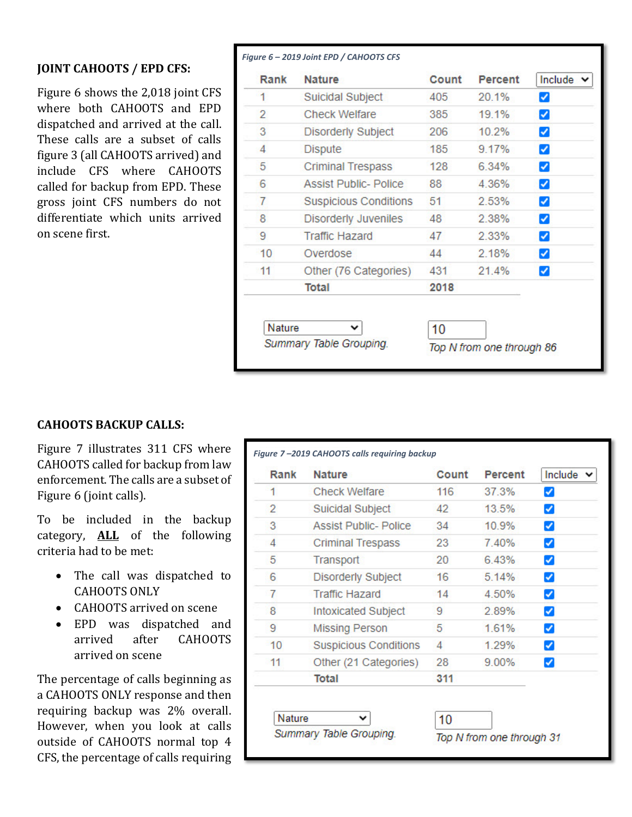#### **JOINT CAHOOTS / EPD CFS:**

Figure 6 shows the 2,018 joint CFS where both CAHOOTS and EPD dispatched and arrived at the call. These calls are a subset of calls figure 3 (all CAHOOTS arrived) and include CFS where CAHOOTS called for backup from EPD. These gross joint CFS numbers do not differentiate which units arrived on scene first.

| Rank | <b>Nature</b>                | Count | Percent | Include $\vee$       |
|------|------------------------------|-------|---------|----------------------|
| 1    | Suicidal Subject             | 405   | 20.1%   | ✓                    |
| 2    | Check Welfare                | 385   | 19.1%   | ✔                    |
| 3    | Disorderly Subject           | 206   | 10.2%   | ✔                    |
| 4    | <b>Dispute</b>               | 185   | 9.17%   | $\blacktriangledown$ |
| 5    | <b>Criminal Trespass</b>     | 128   | 6.34%   | $\blacktriangledown$ |
| 6    | <b>Assist Public- Police</b> | 88    | 4.36%   | ✔                    |
| 7    | <b>Suspicious Conditions</b> | 51    | 2.53%   | ✓                    |
| 8    | <b>Disorderly Juveniles</b>  | 48    | 2.38%   | $\blacktriangledown$ |
| 9    | <b>Traffic Hazard</b>        | 47    | 2.33%   | ✓                    |
| 10   | Overdose                     | 44    | 2.18%   | ✔                    |
| 11   | Other (76 Categories)        | 431   | 21.4%   | ✓                    |
|      | <b>Total</b>                 | 2018  |         |                      |

#### **CAHOOTS BACKUP CALLS:**

Figure 7 illustrates 311 CFS where CAHOOTS called for backup from law enforcement. The calls are a subset of Figure 6 (joint calls).

To be included in the backup category, **ALL** of the following criteria had to be met:

- The call was dispatched to CAHOOTS ONLY
- CAHOOTS arrived on scene
- EPD was dispatched and<br>arrived after CAHOOTS after CAHOOTS arrived on scene

The percentage of calls beginning as a CAHOOTS ONLY response and then requiring backup was 2% overall. However, when you look at calls outside of CAHOOTS normal top 4 CFS, the percentage of calls requiring

| Rank           | <b>Nature</b>                | Count | <b>Percent</b> | Include $\vee$ |
|----------------|------------------------------|-------|----------------|----------------|
| 1              | <b>Check Welfare</b>         | 116   | 37.3%          | ✔              |
| $\overline{2}$ | Suicidal Subject             | 42    | 13.5%          | ✔              |
| 3              | <b>Assist Public- Police</b> | 34    | 10.9%          | ✓              |
| 4              | <b>Criminal Trespass</b>     | 23    | 7.40%          | ✔              |
| 5              | Transport                    | 20    | 6.43%          | ✓              |
| 6              | <b>Disorderly Subject</b>    | 16    | 5.14%          | ✔              |
| 7              | <b>Traffic Hazard</b>        | 14    | 4.50%          | ✔              |
| 8              | <b>Intoxicated Subject</b>   | 9     | 2.89%          | ✔              |
| 9              | <b>Missing Person</b>        | 5     | 1.61%          | ✓              |
| 10             | <b>Suspicious Conditions</b> | 4     | 1.29%          | ✓              |
| 11             | Other (21 Categories)        | 28    | 9.00%          | ✓              |
|                | Total                        | 311   |                |                |

Summary Table Grouping.

*Figure 7 –2019 CAHOOTS calls requiring backup*

Top N from one through 31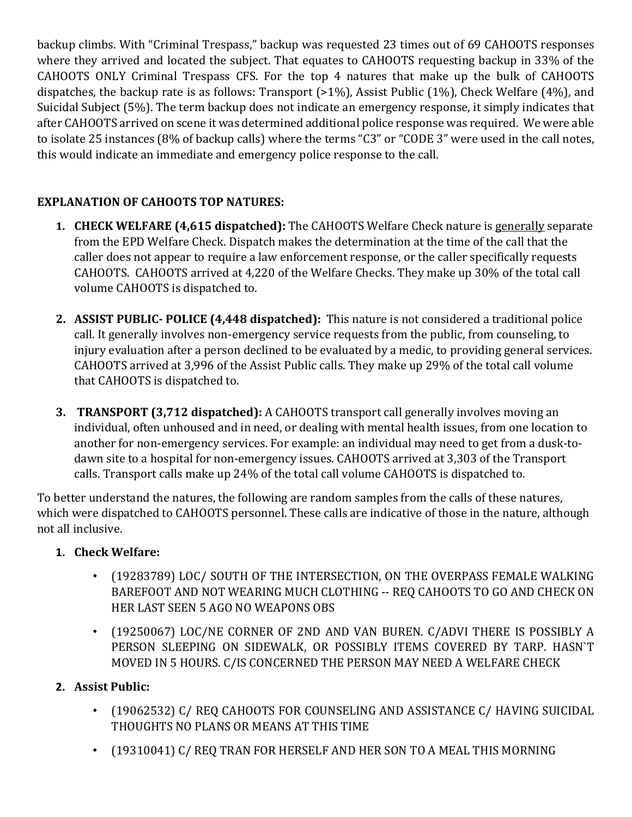backup climbs. With "Criminal Trespass," backup was requested 23 times out of 69 CAHOOTS responses where they arrived and located the subject. That equates to CAHOOTS requesting backup in 33% of the CAHOOTS ONLY Criminal Trespass CFS. For the top 4 natures that make up the bulk of CAHOOTS dispatches, the backup rate is as follows: Transport (>1%), Assist Public (1%), Check Welfare (4%), and Suicidal Subject (5%). The term backup does not indicate an emergency response, it simply indicates that after CAHOOTS arrived on scene it was determined additional police response was required. We were able to isolate 25 instances (8% of backup calls) where the terms "C3" or "CODE 3" were used in the call notes, this would indicate an immediate and emergency police response to the call.

# **EXPLANATION OF CAHOOTS TOP NATURES:**

- **1. CHECK WELFARE (4,615 dispatched):** The CAHOOTS Welfare Check nature is generally separate from the EPD Welfare Check. Dispatch makes the determination at the time of the call that the caller does not appear to require a law enforcement response, or the caller specifically requests CAHOOTS. CAHOOTS arrived at 4,220 of the Welfare Checks. They make up 30% of the total call volume CAHOOTS is dispatched to.
- **2. ASSIST PUBLIC- POLICE (4,448 dispatched):** This nature is not considered a traditional police call. It generally involves non-emergency service requests from the public, from counseling, to injury evaluation after a person declined to be evaluated by a medic, to providing general services. CAHOOTS arrived at 3,996 of the Assist Public calls. They make up 29% of the total call volume that CAHOOTS is dispatched to.
- **3. TRANSPORT (3,712 dispatched):** A CAHOOTS transport call generally involves moving an individual, often unhoused and in need, or dealing with mental health issues, from one location to another for non-emergency services. For example: an individual may need to get from a dusk-todawn site to a hospital for non-emergency issues. CAHOOTS arrived at 3,303 of the Transport calls. Transport calls make up 24% of the total call volume CAHOOTS is dispatched to.

To better understand the natures, the following are random samples from the calls of these natures, which were dispatched to CAHOOTS personnel. These calls are indicative of those in the nature, although not all inclusive.

# **1. Check Welfare:**

- (19283789) LOC/ SOUTH OF THE INTERSECTION, ON THE OVERPASS FEMALE WALKING BAREFOOT AND NOT WEARING MUCH CLOTHING -- REQ CAHOOTS TO GO AND CHECK ON HER LAST SEEN 5 AGO NO WEAPONS OBS
- (19250067) LOC/NE CORNER OF 2ND AND VAN BUREN. C/ADVI THERE IS POSSIBLY A PERSON SLEEPING ON SIDEWALK, OR POSSIBLY ITEMS COVERED BY TARP. HASN`T MOVED IN 5 HOURS. C/IS CONCERNED THE PERSON MAY NEED A WELFARE CHECK

# **2. Assist Public:**

- (19062532) C/ REQ CAHOOTS FOR COUNSELING AND ASSISTANCE C/ HAVING SUICIDAL THOUGHTS NO PLANS OR MEANS AT THIS TIME
- (19310041) C/ REQ TRAN FOR HERSELF AND HER SON TO A MEAL THIS MORNING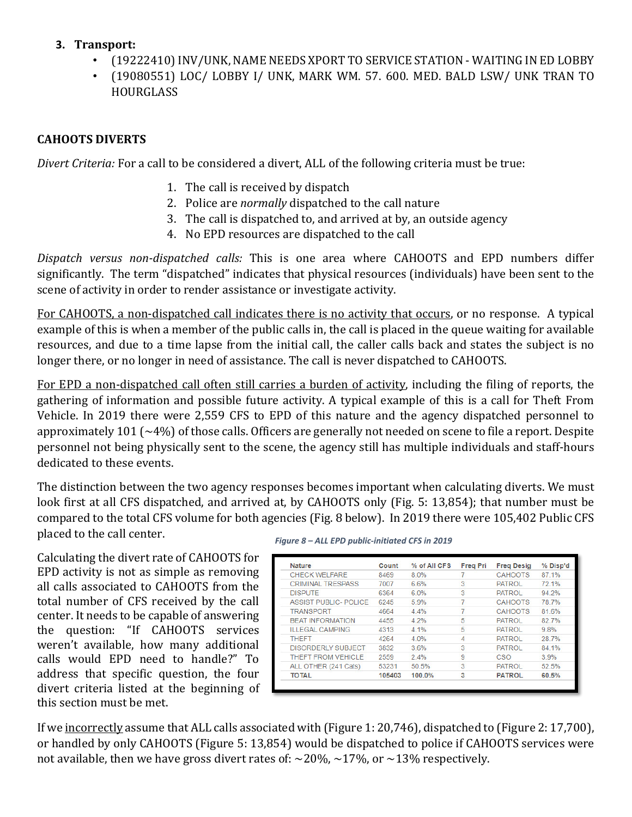### **3. Transport:**

- (19222410) INV/UNK, NAME NEEDS XPORT TO SERVICE STATION WAITING IN ED LOBBY
- (19080551) LOC/ LOBBY I/ UNK, MARK WM. 57. 600. MED. BALD LSW/ UNK TRAN TO **HOURGLASS**

## **CAHOOTS DIVERTS**

*Divert Criteria:* For a call to be considered a divert, ALL of the following criteria must be true:

- 1. The call is received by dispatch
- 2. Police are *normally* dispatched to the call nature
- 3. The call is dispatched to, and arrived at by, an outside agency
- 4. No EPD resources are dispatched to the call

*Dispatch versus non-dispatched calls:* This is one area where CAHOOTS and EPD numbers differ significantly. The term "dispatched" indicates that physical resources (individuals) have been sent to the scene of activity in order to render assistance or investigate activity.

For CAHOOTS, a non-dispatched call indicates there is no activity that occurs, or no response. A typical example of this is when a member of the public calls in, the call is placed in the queue waiting for available resources, and due to a time lapse from the initial call, the caller calls back and states the subject is no longer there, or no longer in need of assistance. The call is never dispatched to CAHOOTS.

For EPD a non-dispatched call often still carries a burden of activity, including the filing of reports, the gathering of information and possible future activity. A typical example of this is a call for Theft From Vehicle. In 2019 there were 2,559 CFS to EPD of this nature and the agency dispatched personnel to approximately 101 (~4%) of those calls. Officers are generally not needed on scene to file a report. Despite personnel not being physically sent to the scene, the agency still has multiple individuals and staff-hours dedicated to these events.

The distinction between the two agency responses becomes important when calculating diverts. We must look first at all CFS dispatched, and arrived at, by CAHOOTS only (Fig. 5: 13,854); that number must be compared to the total CFS volume for both agencies (Fig. 8 below). In 2019 there were 105,402 Public CFS placed to the call center.

Calculating the divert rate of CAHOOTS for EPD activity is not as simple as removing all calls associated to CAHOOTS from the total number of CFS received by the call center. It needs to be capable of answering the question: "If CAHOOTS services weren't available, how many additional calls would EPD need to handle?" To address that specific question, the four divert criteria listed at the beginning of this section must be met.

*Figure 8 – ALL EPD public-initiated CFS in 2019*

| <b>Nature</b>                | Count  | % of All CFS | <b>Freg Pri</b> | <b>Freg Desig</b> | % Disp'd |
|------------------------------|--------|--------------|-----------------|-------------------|----------|
| <b>CHECK WELFARE</b>         | 8469   | 8.0%         |                 | <b>CAHOOTS</b>    | 87.1%    |
| <b>CRIMINAL TRESPASS</b>     | 7007   | 6.6%         | 3               | <b>PATROL</b>     | 72.1%    |
| <b>DISPUTE</b>               | 6364   | 6.0%         | 3               | <b>PATROL</b>     | 94.2%    |
| <b>ASSIST PUBLIC- POLICE</b> | 6245   | 5.9%         | 7               | <b>CAHOOTS</b>    | 78.7%    |
| <b>TRANSPORT</b>             | 4664   | 4.4%         |                 | <b>CAHOOTS</b>    | 81.6%    |
| <b>BEAT INFORMATION</b>      | 4455   | 4.2%         | 5               | <b>PATROL</b>     | 82 7%    |
| <b>ILLEGAL CAMPING</b>       | 4313   | 4.1%         | 5               | <b>PATROL</b>     | 9.8%     |
| <b>THEFT</b>                 | 4264   | 4.0%         | 4               | <b>PATROL</b>     | 28.7%    |
| <b>DISORDERLY SUBJECT</b>    | 3832   | 3.6%         | 3               | <b>PATROL</b>     | 84.1%    |
| <b>THEFT FROM VEHICLE</b>    | 2559   | 2.4%         | 9               | <b>CSO</b>        | 3.9%     |
| ALL OTHER (241 Cats)         | 53231  | 50.5%        | 3               | <b>PATROL</b>     | 52.5%    |
| <b>TOTAL</b>                 | 105403 | 100.0%       | 3               | <b>PATROL</b>     | 60.5%    |

If we incorrectly assume that ALL calls associated with (Figure 1: 20,746), dispatched to (Figure 2: 17,700), or handled by only CAHOOTS (Figure 5: 13,854) would be dispatched to police if CAHOOTS services were not available, then we have gross divert rates of:  $\sim$ 20%,  $\sim$ 17%, or  $\sim$ 13% respectively.